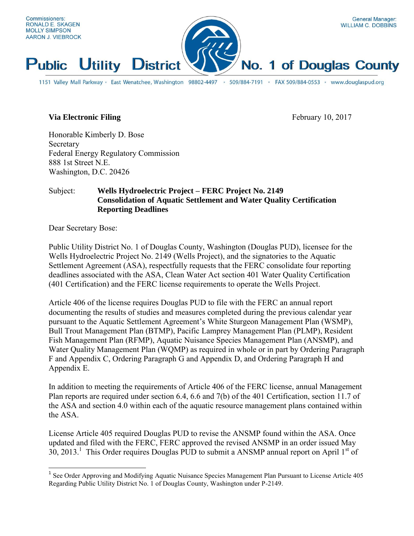

### **Via Electronic Filing** February 10, 2017

Honorable Kimberly D. Bose Secretary Federal Energy Regulatory Commission 888 1st Street N.E. Washington, D.C. 20426

### Subject: **Wells Hydroelectric Project – FERC Project No. 2149 Consolidation of Aquatic Settlement and Water Quality Certification Reporting Deadlines**

Dear Secretary Bose:

 $\overline{a}$ 

Public Utility District No. 1 of Douglas County, Washington (Douglas PUD), licensee for the Wells Hydroelectric Project No. 2149 (Wells Project), and the signatories to the Aquatic Settlement Agreement (ASA), respectfully requests that the FERC consolidate four reporting deadlines associated with the ASA, Clean Water Act section 401 Water Quality Certification (401 Certification) and the FERC license requirements to operate the Wells Project.

Article 406 of the license requires Douglas PUD to file with the FERC an annual report documenting the results of studies and measures completed during the previous calendar year pursuant to the Aquatic Settlement Agreement's White Sturgeon Management Plan (WSMP), Bull Trout Management Plan (BTMP), Pacific Lamprey Management Plan (PLMP), Resident Fish Management Plan (RFMP), Aquatic Nuisance Species Management Plan (ANSMP), and Water Quality Management Plan (WQMP) as required in whole or in part by Ordering Paragraph F and Appendix C, Ordering Paragraph G and Appendix D, and Ordering Paragraph H and Appendix E.

In addition to meeting the requirements of Article 406 of the FERC license, annual Management Plan reports are required under section 6.4, 6.6 and 7(b) of the 401 Certification, section 11.7 of the ASA and section 4.0 within each of the aquatic resource management plans contained within the ASA.

License Article 405 required Douglas PUD to revise the ANSMP found within the ASA. Once updated and filed with the FERC, FERC approved the revised ANSMP in an order issued May 30, 2013.<sup>1</sup> This Order requires Douglas PUD to submit a ANSMP annual report on April  $1<sup>st</sup>$  of

<sup>&</sup>lt;sup>1</sup> See Order Approving and Modifying Aquatic Nuisance Species Management Plan Pursuant to License Article 405 Regarding Public Utility District No. 1 of Douglas County, Washington under P-2149.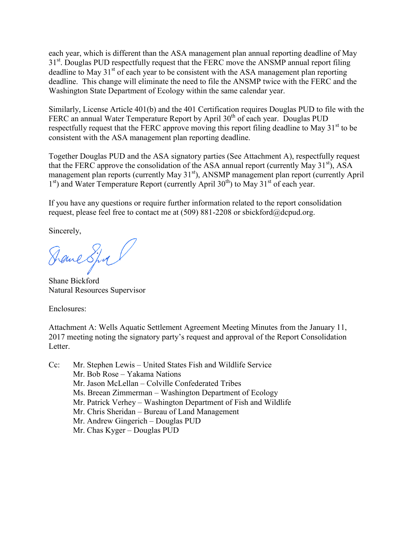each year, which is different than the ASA management plan annual reporting deadline of May 31<sup>st</sup>. Douglas PUD respectfully request that the FERC move the ANSMP annual report filing deadline to May  $31<sup>st</sup>$  of each year to be consistent with the ASA management plan reporting deadline. This change will eliminate the need to file the ANSMP twice with the FERC and the Washington State Department of Ecology within the same calendar year.

Similarly, License Article 401(b) and the 401 Certification requires Douglas PUD to file with the FERC an annual Water Temperature Report by April 30<sup>th</sup> of each year. Douglas PUD respectfully request that the FERC approve moving this report filing deadline to May  $31<sup>st</sup>$  to be consistent with the ASA management plan reporting deadline.

Together Douglas PUD and the ASA signatory parties (See Attachment A), respectfully request that the FERC approve the consolidation of the ASA annual report (currently May  $31<sup>st</sup>$ ), ASA management plan reports (currently May 31<sup>st</sup>), ANSMP management plan report (currently April 1<sup>st</sup>) and Water Temperature Report (currently April 30<sup>th</sup>) to May 31<sup>st</sup> of each year.

If you have any questions or require further information related to the report consolidation request, please feel free to contact me at (509) 881-2208 or sbickford@dcpud.org.

Sincerely,

Dane Spra l

Shane Bickford Natural Resources Supervisor

Enclosures:

Attachment A: Wells Aquatic Settlement Agreement Meeting Minutes from the January 11, 2017 meeting noting the signatory party's request and approval of the Report Consolidation Letter.

Cc: Mr. Stephen Lewis – United States Fish and Wildlife Service Mr. Bob Rose – Yakama Nations Mr. Jason McLellan – Colville Confederated Tribes Ms. Breean Zimmerman – Washington Department of Ecology Mr. Patrick Verhey – Washington Department of Fish and Wildlife Mr. Chris Sheridan – Bureau of Land Management Mr. Andrew Gingerich – Douglas PUD Mr. Chas Kyger – Douglas PUD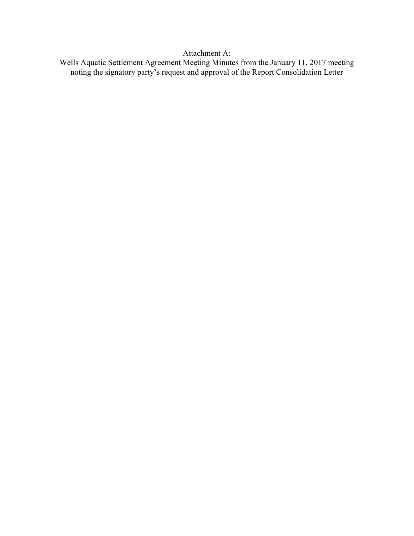Attachment A:

Wells Aquatic Settlement Agreement Meeting Minutes from the January 11, 2017 meeting noting the signatory party's request and approval of the Report Consolidation Letter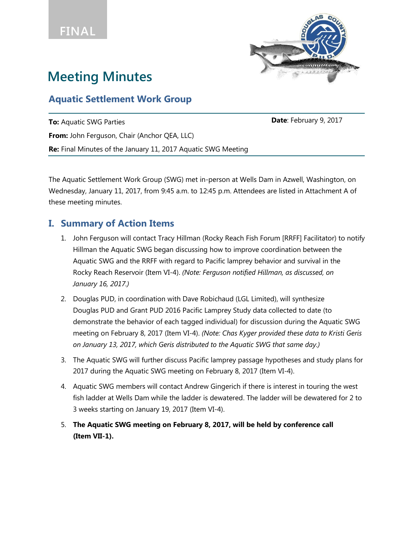

# **Meeting Minutes**

# **Aquatic Settlement Work Group**

**To:** Aquatic SWG Parties **Date**: February 9, 2017 **From:** John Ferguson, Chair (Anchor QEA, LLC) **Re:** Final Minutes of the January 11, 2017 Aquatic SWG Meeting

The Aquatic Settlement Work Group (SWG) met in-person at Wells Dam in Azwell, Washington, on Wednesday, January 11, 2017, from 9:45 a.m. to 12:45 p.m. Attendees are listed in Attachment A of these meeting minutes.

# **I. Summary of Action Items**

- 1. John Ferguson will contact Tracy Hillman (Rocky Reach Fish Forum [RRFF] Facilitator) to notify Hillman the Aquatic SWG began discussing how to improve coordination between the Aquatic SWG and the RRFF with regard to Pacific lamprey behavior and survival in the Rocky Reach Reservoir (Item VI-4). *(Note: Ferguson notified Hillman, as discussed, on January 16, 2017.)*
- 2. Douglas PUD, in coordination with Dave Robichaud (LGL Limited), will synthesize Douglas PUD and Grant PUD 2016 Pacific Lamprey Study data collected to date (to demonstrate the behavior of each tagged individual) for discussion during the Aquatic SWG meeting on February 8, 2017 (Item VI-4). *(Note: Chas Kyger provided these data to Kristi Geris on January 13, 2017, which Geris distributed to the Aquatic SWG that same day.)*
- 3. The Aquatic SWG will further discuss Pacific lamprey passage hypotheses and study plans for 2017 during the Aquatic SWG meeting on February 8, 2017 (Item VI-4).
- 4. Aquatic SWG members will contact Andrew Gingerich if there is interest in touring the west fish ladder at Wells Dam while the ladder is dewatered. The ladder will be dewatered for 2 to 3 weeks starting on January 19, 2017 (Item VI-4).
- 5. **The Aquatic SWG meeting on February 8, 2017, will be held by conference call (Item VII-1).**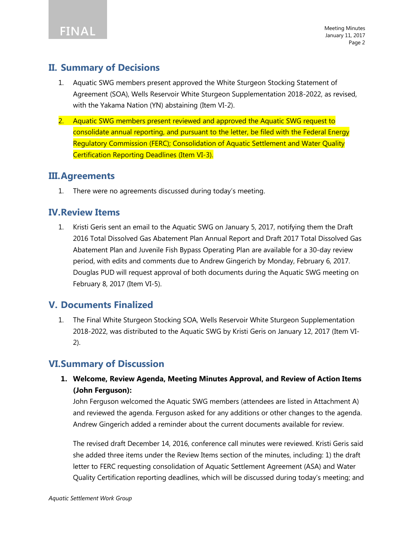# **II. Summary of Decisions**

- 1. Aquatic SWG members present approved the White Sturgeon Stocking Statement of Agreement (SOA), Wells Reservoir White Sturgeon Supplementation 2018-2022, as revised, with the Yakama Nation (YN) abstaining (Item VI-2).
- 2. Aquatic SWG members present reviewed and approved the Aquatic SWG request to consolidate annual reporting, and pursuant to the letter, be filed with the Federal Energy Regulatory Commission (FERC); Consolidation of Aquatic Settlement and Water Quality Certification Reporting Deadlines (Item VI-3).

### **III.Agreements**

1. There were no agreements discussed during today's meeting.

# **IV.Review Items**

1. Kristi Geris sent an email to the Aquatic SWG on January 5, 2017, notifying them the Draft 2016 Total Dissolved Gas Abatement Plan Annual Report and Draft 2017 Total Dissolved Gas Abatement Plan and Juvenile Fish Bypass Operating Plan are available for a 30-day review period, with edits and comments due to Andrew Gingerich by Monday, February 6, 2017. Douglas PUD will request approval of both documents during the Aquatic SWG meeting on February 8, 2017 (Item VI-5).

# **V. Documents Finalized**

1. The Final White Sturgeon Stocking SOA, Wells Reservoir White Sturgeon Supplementation 2018-2022, was distributed to the Aquatic SWG by Kristi Geris on January 12, 2017 (Item VI-2).

# **VI.Summary of Discussion**

**1. Welcome, Review Agenda, Meeting Minutes Approval, and Review of Action Items (John Ferguson):** 

John Ferguson welcomed the Aquatic SWG members (attendees are listed in Attachment A) and reviewed the agenda. Ferguson asked for any additions or other changes to the agenda. Andrew Gingerich added a reminder about the current documents available for review.

The revised draft December 14, 2016, conference call minutes were reviewed. Kristi Geris said she added three items under the Review Items section of the minutes, including: 1) the draft letter to FERC requesting consolidation of Aquatic Settlement Agreement (ASA) and Water Quality Certification reporting deadlines, which will be discussed during today's meeting; and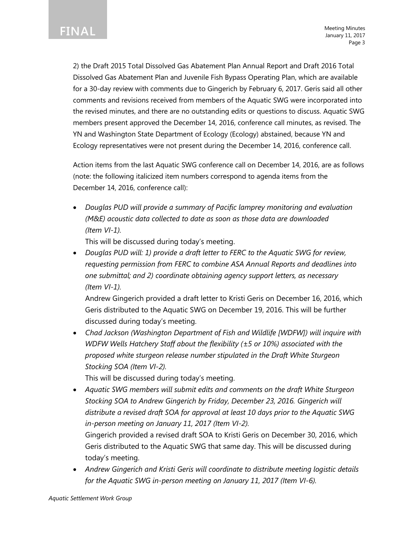

2) the Draft 2015 Total Dissolved Gas Abatement Plan Annual Report and Draft 2016 Total Dissolved Gas Abatement Plan and Juvenile Fish Bypass Operating Plan, which are available for a 30-day review with comments due to Gingerich by February 6, 2017. Geris said all other comments and revisions received from members of the Aquatic SWG were incorporated into the revised minutes, and there are no outstanding edits or questions to discuss. Aquatic SWG members present approved the December 14, 2016, conference call minutes, as revised. The YN and Washington State Department of Ecology (Ecology) abstained, because YN and Ecology representatives were not present during the December 14, 2016, conference call.

Action items from the last Aquatic SWG conference call on December 14, 2016, are as follows (note: the following italicized item numbers correspond to agenda items from the December 14, 2016, conference call):

 *Douglas PUD will provide a summary of Pacific lamprey monitoring and evaluation (M&E) acoustic data collected to date as soon as those data are downloaded (Item VI-1).* 

This will be discussed during today's meeting.

 *Douglas PUD will: 1) provide a draft letter to FERC to the Aquatic SWG for review, requesting permission from FERC to combine ASA Annual Reports and deadlines into one submittal; and 2) coordinate obtaining agency support letters, as necessary (Item VI-1).* 

Andrew Gingerich provided a draft letter to Kristi Geris on December 16, 2016, which Geris distributed to the Aquatic SWG on December 19, 2016. This will be further discussed during today's meeting.

 *Chad Jackson (Washington Department of Fish and Wildlife [WDFW]) will inquire with WDFW Wells Hatchery Staff about the flexibility (±5 or 10%) associated with the proposed white sturgeon release number stipulated in the Draft White Sturgeon Stocking SOA (Item VI-2).* 

This will be discussed during today's meeting.

 *Aquatic SWG members will submit edits and comments on the draft White Sturgeon Stocking SOA to Andrew Gingerich by Friday, December 23, 2016. Gingerich will distribute a revised draft SOA for approval at least 10 days prior to the Aquatic SWG in-person meeting on January 11, 2017 (Item VI-2).* 

Gingerich provided a revised draft SOA to Kristi Geris on December 30, 2016, which Geris distributed to the Aquatic SWG that same day. This will be discussed during today's meeting.

 *Andrew Gingerich and Kristi Geris will coordinate to distribute meeting logistic details for the Aquatic SWG in-person meeting on January 11, 2017 (Item VI-6).*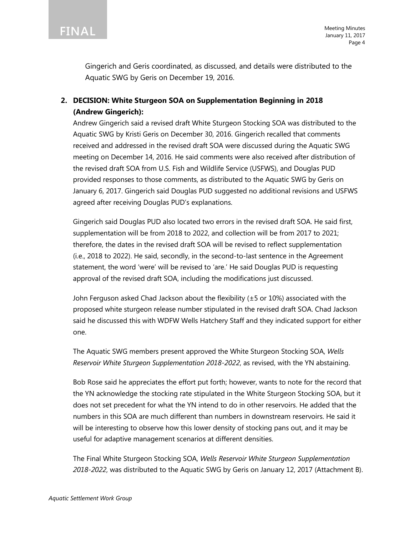

Gingerich and Geris coordinated, as discussed, and details were distributed to the Aquatic SWG by Geris on December 19, 2016.

### **2. DECISION: White Sturgeon SOA on Supplementation Beginning in 2018 (Andrew Gingerich):**

Andrew Gingerich said a revised draft White Sturgeon Stocking SOA was distributed to the Aquatic SWG by Kristi Geris on December 30, 2016. Gingerich recalled that comments received and addressed in the revised draft SOA were discussed during the Aquatic SWG meeting on December 14, 2016. He said comments were also received after distribution of the revised draft SOA from U.S. Fish and Wildlife Service (USFWS), and Douglas PUD provided responses to those comments, as distributed to the Aquatic SWG by Geris on January 6, 2017. Gingerich said Douglas PUD suggested no additional revisions and USFWS agreed after receiving Douglas PUD's explanations.

Gingerich said Douglas PUD also located two errors in the revised draft SOA. He said first, supplementation will be from 2018 to 2022, and collection will be from 2017 to 2021; therefore, the dates in the revised draft SOA will be revised to reflect supplementation (i.e., 2018 to 2022). He said, secondly, in the second-to-last sentence in the Agreement statement, the word 'were' will be revised to 'are.' He said Douglas PUD is requesting approval of the revised draft SOA, including the modifications just discussed.

John Ferguson asked Chad Jackson about the flexibility (±5 or 10%) associated with the proposed white sturgeon release number stipulated in the revised draft SOA. Chad Jackson said he discussed this with WDFW Wells Hatchery Staff and they indicated support for either one.

The Aquatic SWG members present approved the White Sturgeon Stocking SOA, *Wells Reservoir White Sturgeon Supplementation 2018-2022*, as revised, with the YN abstaining.

Bob Rose said he appreciates the effort put forth; however, wants to note for the record that the YN acknowledge the stocking rate stipulated in the White Sturgeon Stocking SOA, but it does not set precedent for what the YN intend to do in other reservoirs. He added that the numbers in this SOA are much different than numbers in downstream reservoirs. He said it will be interesting to observe how this lower density of stocking pans out, and it may be useful for adaptive management scenarios at different densities.

The Final White Sturgeon Stocking SOA, *Wells Reservoir White Sturgeon Supplementation 2018-2022*, was distributed to the Aquatic SWG by Geris on January 12, 2017 (Attachment B).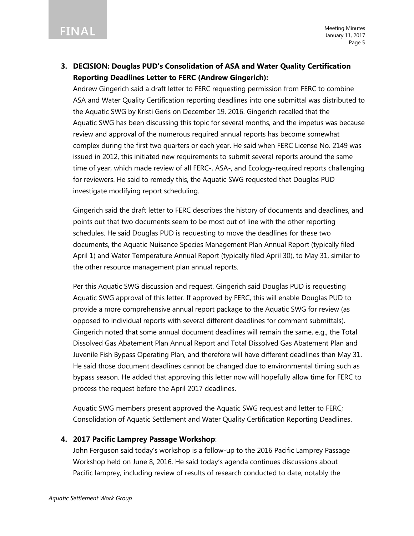### **3. DECISION: Douglas PUD's Consolidation of ASA and Water Quality Certification Reporting Deadlines Letter to FERC (Andrew Gingerich):**

Andrew Gingerich said a draft letter to FERC requesting permission from FERC to combine ASA and Water Quality Certification reporting deadlines into one submittal was distributed to the Aquatic SWG by Kristi Geris on December 19, 2016. Gingerich recalled that the Aquatic SWG has been discussing this topic for several months, and the impetus was because review and approval of the numerous required annual reports has become somewhat complex during the first two quarters or each year. He said when FERC License No. 2149 was issued in 2012, this initiated new requirements to submit several reports around the same time of year, which made review of all FERC-, ASA-, and Ecology-required reports challenging for reviewers. He said to remedy this, the Aquatic SWG requested that Douglas PUD investigate modifying report scheduling.

Gingerich said the draft letter to FERC describes the history of documents and deadlines, and points out that two documents seem to be most out of line with the other reporting schedules. He said Douglas PUD is requesting to move the deadlines for these two documents, the Aquatic Nuisance Species Management Plan Annual Report (typically filed April 1) and Water Temperature Annual Report (typically filed April 30), to May 31, similar to the other resource management plan annual reports.

Per this Aquatic SWG discussion and request, Gingerich said Douglas PUD is requesting Aquatic SWG approval of this letter. If approved by FERC, this will enable Douglas PUD to provide a more comprehensive annual report package to the Aquatic SWG for review (as opposed to individual reports with several different deadlines for comment submittals). Gingerich noted that some annual document deadlines will remain the same, e.g., the Total Dissolved Gas Abatement Plan Annual Report and Total Dissolved Gas Abatement Plan and Juvenile Fish Bypass Operating Plan, and therefore will have different deadlines than May 31. He said those document deadlines cannot be changed due to environmental timing such as bypass season. He added that approving this letter now will hopefully allow time for FERC to process the request before the April 2017 deadlines.

Aquatic SWG members present approved the Aquatic SWG request and letter to FERC; Consolidation of Aquatic Settlement and Water Quality Certification Reporting Deadlines.

### **4. 2017 Pacific Lamprey Passage Workshop**:

John Ferguson said today's workshop is a follow-up to the 2016 Pacific Lamprey Passage Workshop held on June 8, 2016. He said today's agenda continues discussions about Pacific lamprey, including review of results of research conducted to date, notably the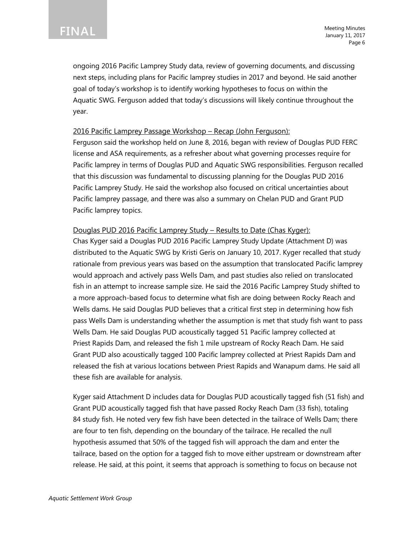ongoing 2016 Pacific Lamprey Study data, review of governing documents, and discussing next steps, including plans for Pacific lamprey studies in 2017 and beyond. He said another goal of today's workshop is to identify working hypotheses to focus on within the Aquatic SWG. Ferguson added that today's discussions will likely continue throughout the year.

### 2016 Pacific Lamprey Passage Workshop – Recap (John Ferguson):

Ferguson said the workshop held on June 8, 2016, began with review of Douglas PUD FERC license and ASA requirements, as a refresher about what governing processes require for Pacific lamprey in terms of Douglas PUD and Aquatic SWG responsibilities. Ferguson recalled that this discussion was fundamental to discussing planning for the Douglas PUD 2016 Pacific Lamprey Study. He said the workshop also focused on critical uncertainties about Pacific lamprey passage, and there was also a summary on Chelan PUD and Grant PUD Pacific lamprey topics.

### Douglas PUD 2016 Pacific Lamprey Study – Results to Date (Chas Kyger):

Chas Kyger said a Douglas PUD 2016 Pacific Lamprey Study Update (Attachment D) was distributed to the Aquatic SWG by Kristi Geris on January 10, 2017. Kyger recalled that study rationale from previous years was based on the assumption that translocated Pacific lamprey would approach and actively pass Wells Dam, and past studies also relied on translocated fish in an attempt to increase sample size. He said the 2016 Pacific Lamprey Study shifted to a more approach-based focus to determine what fish are doing between Rocky Reach and Wells dams. He said Douglas PUD believes that a critical first step in determining how fish pass Wells Dam is understanding whether the assumption is met that study fish want to pass Wells Dam. He said Douglas PUD acoustically tagged 51 Pacific lamprey collected at Priest Rapids Dam, and released the fish 1 mile upstream of Rocky Reach Dam. He said Grant PUD also acoustically tagged 100 Pacific lamprey collected at Priest Rapids Dam and released the fish at various locations between Priest Rapids and Wanapum dams. He said all these fish are available for analysis.

Kyger said Attachment D includes data for Douglas PUD acoustically tagged fish (51 fish) and Grant PUD acoustically tagged fish that have passed Rocky Reach Dam (33 fish), totaling 84 study fish. He noted very few fish have been detected in the tailrace of Wells Dam; there are four to ten fish, depending on the boundary of the tailrace. He recalled the null hypothesis assumed that 50% of the tagged fish will approach the dam and enter the tailrace, based on the option for a tagged fish to move either upstream or downstream after release. He said, at this point, it seems that approach is something to focus on because not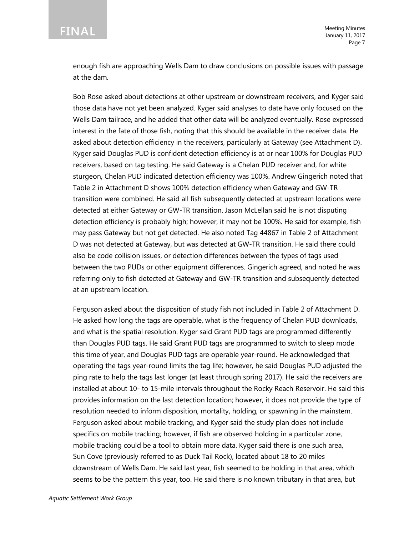enough fish are approaching Wells Dam to draw conclusions on possible issues with passage at the dam.

Bob Rose asked about detections at other upstream or downstream receivers, and Kyger said those data have not yet been analyzed. Kyger said analyses to date have only focused on the Wells Dam tailrace, and he added that other data will be analyzed eventually. Rose expressed interest in the fate of those fish, noting that this should be available in the receiver data. He asked about detection efficiency in the receivers, particularly at Gateway (see Attachment D). Kyger said Douglas PUD is confident detection efficiency is at or near 100% for Douglas PUD receivers, based on tag testing. He said Gateway is a Chelan PUD receiver and, for white sturgeon, Chelan PUD indicated detection efficiency was 100%. Andrew Gingerich noted that Table 2 in Attachment D shows 100% detection efficiency when Gateway and GW-TR transition were combined. He said all fish subsequently detected at upstream locations were detected at either Gateway or GW-TR transition. Jason McLellan said he is not disputing detection efficiency is probably high; however, it may not be 100%. He said for example, fish may pass Gateway but not get detected. He also noted Tag 44867 in Table 2 of Attachment D was not detected at Gateway, but was detected at GW-TR transition. He said there could also be code collision issues, or detection differences between the types of tags used between the two PUDs or other equipment differences. Gingerich agreed, and noted he was referring only to fish detected at Gateway and GW-TR transition and subsequently detected at an upstream location.

Ferguson asked about the disposition of study fish not included in Table 2 of Attachment D. He asked how long the tags are operable, what is the frequency of Chelan PUD downloads, and what is the spatial resolution. Kyger said Grant PUD tags are programmed differently than Douglas PUD tags. He said Grant PUD tags are programmed to switch to sleep mode this time of year, and Douglas PUD tags are operable year-round. He acknowledged that operating the tags year-round limits the tag life; however, he said Douglas PUD adjusted the ping rate to help the tags last longer (at least through spring 2017). He said the receivers are installed at about 10- to 15-mile intervals throughout the Rocky Reach Reservoir. He said this provides information on the last detection location; however, it does not provide the type of resolution needed to inform disposition, mortality, holding, or spawning in the mainstem. Ferguson asked about mobile tracking, and Kyger said the study plan does not include specifics on mobile tracking; however, if fish are observed holding in a particular zone, mobile tracking could be a tool to obtain more data. Kyger said there is one such area, Sun Cove (previously referred to as Duck Tail Rock), located about 18 to 20 miles downstream of Wells Dam. He said last year, fish seemed to be holding in that area, which seems to be the pattern this year, too. He said there is no known tributary in that area, but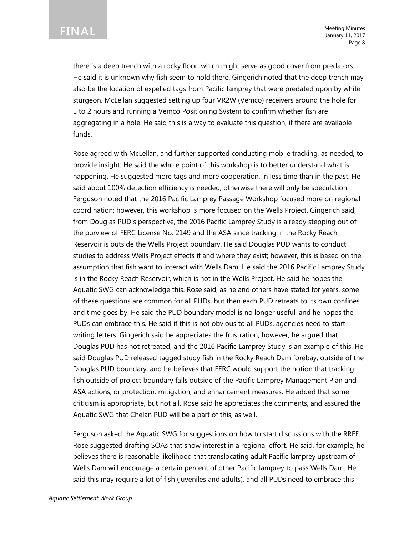there is a deep trench with a rocky floor, which might serve as good cover from predators. He said it is unknown why fish seem to hold there. Gingerich noted that the deep trench may also be the location of expelled tags from Pacific lamprey that were predated upon by white sturgeon. McLellan suggested setting up four VR2W (Vemco) receivers around the hole for 1 to 2 hours and running a Vemco Positioning System to confirm whether fish are aggregating in a hole. He said this is a way to evaluate this question, if there are available funds.

Rose agreed with McLellan, and further supported conducting mobile tracking, as needed, to provide insight. He said the whole point of this workshop is to better understand what is happening. He suggested more tags and more cooperation, in less time than in the past. He said about 100% detection efficiency is needed, otherwise there will only be speculation. Ferguson noted that the 2016 Pacific Lamprey Passage Workshop focused more on regional coordination; however, this workshop is more focused on the Wells Project. Gingerich said, from Douglas PUD's perspective, the 2016 Pacific Lamprey Study is already stepping out of the purview of FERC License No. 2149 and the ASA since tracking in the Rocky Reach Reservoir is outside the Wells Project boundary. He said Douglas PUD wants to conduct studies to address Wells Project effects if and where they exist; however, this is based on the assumption that fish want to interact with Wells Dam. He said the 2016 Pacific Lamprey Study is in the Rocky Reach Reservoir, which is not in the Wells Project. He said he hopes the Aquatic SWG can acknowledge this. Rose said, as he and others have stated for years, some of these questions are common for all PUDs, but then each PUD retreats to its own confines and time goes by. He said the PUD boundary model is no longer useful, and he hopes the PUDs can embrace this. He said if this is not obvious to all PUDs, agencies need to start writing letters. Gingerich said he appreciates the frustration; however, he argued that Douglas PUD has not retreated, and the 2016 Pacific Lamprey Study is an example of this. He said Douglas PUD released tagged study fish in the Rocky Reach Dam forebay, outside of the Douglas PUD boundary, and he believes that FERC would support the notion that tracking fish outside of project boundary falls outside of the Pacific Lamprey Management Plan and ASA actions, or protection, mitigation, and enhancement measures. He added that some criticism is appropriate, but not all. Rose said he appreciates the comments, and assured the Aquatic SWG that Chelan PUD will be a part of this, as well.

Ferguson asked the Aquatic SWG for suggestions on how to start discussions with the RRFF. Rose suggested drafting SOAs that show interest in a regional effort. He said, for example, he believes there is reasonable likelihood that translocating adult Pacific lamprey upstream of Wells Dam will encourage a certain percent of other Pacific lamprey to pass Wells Dam. He said this may require a lot of fish (juveniles and adults), and all PUDs need to embrace this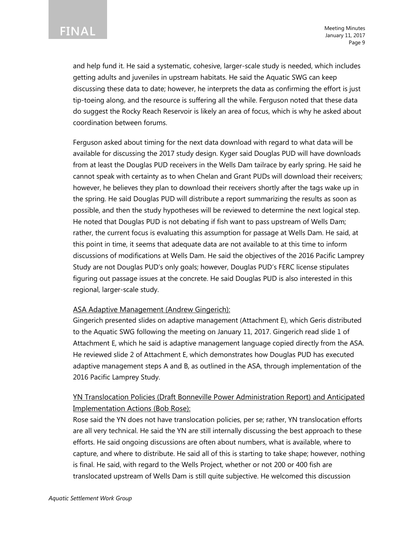and help fund it. He said a systematic, cohesive, larger-scale study is needed, which includes getting adults and juveniles in upstream habitats. He said the Aquatic SWG can keep discussing these data to date; however, he interprets the data as confirming the effort is just tip-toeing along, and the resource is suffering all the while. Ferguson noted that these data do suggest the Rocky Reach Reservoir is likely an area of focus, which is why he asked about coordination between forums.

Ferguson asked about timing for the next data download with regard to what data will be available for discussing the 2017 study design. Kyger said Douglas PUD will have downloads from at least the Douglas PUD receivers in the Wells Dam tailrace by early spring. He said he cannot speak with certainty as to when Chelan and Grant PUDs will download their receivers; however, he believes they plan to download their receivers shortly after the tags wake up in the spring. He said Douglas PUD will distribute a report summarizing the results as soon as possible, and then the study hypotheses will be reviewed to determine the next logical step. He noted that Douglas PUD is not debating if fish want to pass upstream of Wells Dam; rather, the current focus is evaluating this assumption for passage at Wells Dam. He said, at this point in time, it seems that adequate data are not available to at this time to inform discussions of modifications at Wells Dam. He said the objectives of the 2016 Pacific Lamprey Study are not Douglas PUD's only goals; however, Douglas PUD's FERC license stipulates figuring out passage issues at the concrete. He said Douglas PUD is also interested in this regional, larger-scale study.

### ASA Adaptive Management (Andrew Gingerich):

Gingerich presented slides on adaptive management (Attachment E), which Geris distributed to the Aquatic SWG following the meeting on January 11, 2017. Gingerich read slide 1 of Attachment E, which he said is adaptive management language copied directly from the ASA. He reviewed slide 2 of Attachment E, which demonstrates how Douglas PUD has executed adaptive management steps A and B, as outlined in the ASA, through implementation of the 2016 Pacific Lamprey Study.

### YN Translocation Policies (Draft Bonneville Power Administration Report) and Anticipated Implementation Actions (Bob Rose):

Rose said the YN does not have translocation policies, per se; rather, YN translocation efforts are all very technical. He said the YN are still internally discussing the best approach to these efforts. He said ongoing discussions are often about numbers, what is available, where to capture, and where to distribute. He said all of this is starting to take shape; however, nothing is final. He said, with regard to the Wells Project, whether or not 200 or 400 fish are translocated upstream of Wells Dam is still quite subjective. He welcomed this discussion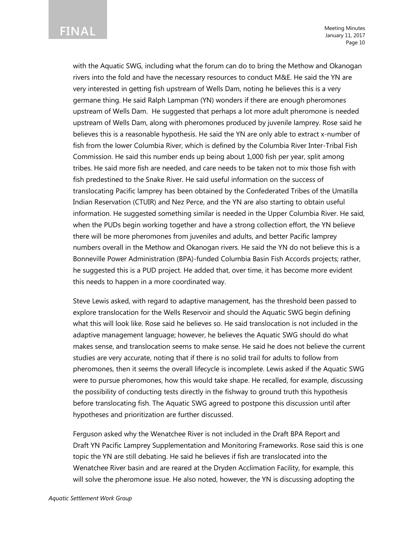**FINAL**

Meeting Minutes January 11, 2017 Page 10

with the Aquatic SWG, including what the forum can do to bring the Methow and Okanogan rivers into the fold and have the necessary resources to conduct M&E. He said the YN are very interested in getting fish upstream of Wells Dam, noting he believes this is a very germane thing. He said Ralph Lampman (YN) wonders if there are enough pheromones upstream of Wells Dam. He suggested that perhaps a lot more adult pheromone is needed upstream of Wells Dam, along with pheromones produced by juvenile lamprey. Rose said he believes this is a reasonable hypothesis. He said the YN are only able to extract x-number of fish from the lower Columbia River, which is defined by the Columbia River Inter-Tribal Fish Commission. He said this number ends up being about 1,000 fish per year, split among tribes. He said more fish are needed, and care needs to be taken not to mix those fish with fish predestined to the Snake River. He said useful information on the success of translocating Pacific lamprey has been obtained by the Confederated Tribes of the Umatilla Indian Reservation (CTUIR) and Nez Perce, and the YN are also starting to obtain useful information. He suggested something similar is needed in the Upper Columbia River. He said, when the PUDs begin working together and have a strong collection effort, the YN believe there will be more pheromones from juveniles and adults, and better Pacific lamprey numbers overall in the Methow and Okanogan rivers. He said the YN do not believe this is a Bonneville Power Administration (BPA)-funded Columbia Basin Fish Accords projects; rather, he suggested this is a PUD project. He added that, over time, it has become more evident this needs to happen in a more coordinated way.

Steve Lewis asked, with regard to adaptive management, has the threshold been passed to explore translocation for the Wells Reservoir and should the Aquatic SWG begin defining what this will look like. Rose said he believes so. He said translocation is not included in the adaptive management language; however, he believes the Aquatic SWG should do what makes sense, and translocation seems to make sense. He said he does not believe the current studies are very accurate, noting that if there is no solid trail for adults to follow from pheromones, then it seems the overall lifecycle is incomplete. Lewis asked if the Aquatic SWG were to pursue pheromones, how this would take shape. He recalled, for example, discussing the possibility of conducting tests directly in the fishway to ground truth this hypothesis before translocating fish. The Aquatic SWG agreed to postpone this discussion until after hypotheses and prioritization are further discussed.

Ferguson asked why the Wenatchee River is not included in the Draft BPA Report and Draft YN Pacific Lamprey Supplementation and Monitoring Frameworks. Rose said this is one topic the YN are still debating. He said he believes if fish are translocated into the Wenatchee River basin and are reared at the Dryden Acclimation Facility, for example, this will solve the pheromone issue. He also noted, however, the YN is discussing adopting the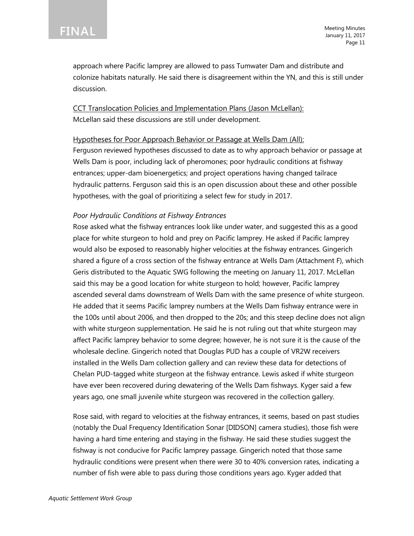Meeting Minutes January 11, 2017 Page 11

approach where Pacific lamprey are allowed to pass Tumwater Dam and distribute and colonize habitats naturally. He said there is disagreement within the YN, and this is still under discussion.

CCT Translocation Policies and Implementation Plans (Jason McLellan): McLellan said these discussions are still under development.

Hypotheses for Poor Approach Behavior or Passage at Wells Dam (All): Ferguson reviewed hypotheses discussed to date as to why approach behavior or passage at Wells Dam is poor, including lack of pheromones; poor hydraulic conditions at fishway entrances; upper-dam bioenergetics; and project operations having changed tailrace hydraulic patterns. Ferguson said this is an open discussion about these and other possible hypotheses, with the goal of prioritizing a select few for study in 2017.

### *Poor Hydraulic Conditions at Fishway Entrances*

Rose asked what the fishway entrances look like under water, and suggested this as a good place for white sturgeon to hold and prey on Pacific lamprey. He asked if Pacific lamprey would also be exposed to reasonably higher velocities at the fishway entrances. Gingerich shared a figure of a cross section of the fishway entrance at Wells Dam (Attachment F), which Geris distributed to the Aquatic SWG following the meeting on January 11, 2017. McLellan said this may be a good location for white sturgeon to hold; however, Pacific lamprey ascended several dams downstream of Wells Dam with the same presence of white sturgeon. He added that it seems Pacific lamprey numbers at the Wells Dam fishway entrance were in the 100s until about 2006, and then dropped to the 20s; and this steep decline does not align with white sturgeon supplementation. He said he is not ruling out that white sturgeon may affect Pacific lamprey behavior to some degree; however, he is not sure it is the cause of the wholesale decline. Gingerich noted that Douglas PUD has a couple of VR2W receivers installed in the Wells Dam collection gallery and can review these data for detections of Chelan PUD-tagged white sturgeon at the fishway entrance. Lewis asked if white sturgeon have ever been recovered during dewatering of the Wells Dam fishways. Kyger said a few years ago, one small juvenile white sturgeon was recovered in the collection gallery.

Rose said, with regard to velocities at the fishway entrances, it seems, based on past studies (notably the Dual Frequency Identification Sonar [DIDSON] camera studies), those fish were having a hard time entering and staying in the fishway. He said these studies suggest the fishway is not conducive for Pacific lamprey passage. Gingerich noted that those same hydraulic conditions were present when there were 30 to 40% conversion rates, indicating a number of fish were able to pass during those conditions years ago. Kyger added that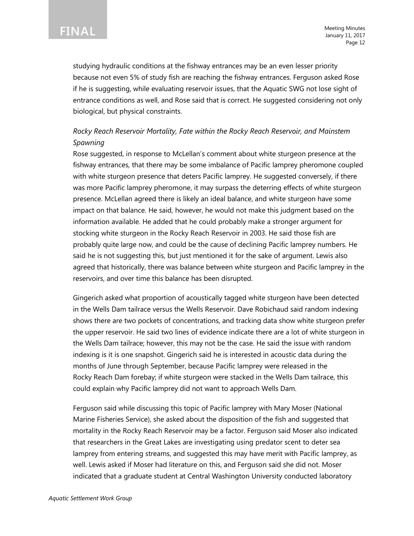studying hydraulic conditions at the fishway entrances may be an even lesser priority because not even 5% of study fish are reaching the fishway entrances. Ferguson asked Rose if he is suggesting, while evaluating reservoir issues, that the Aquatic SWG not lose sight of entrance conditions as well, and Rose said that is correct. He suggested considering not only biological, but physical constraints.

### *Rocky Reach Reservoir Mortality, Fate within the Rocky Reach Reservoir, and Mainstem Spawning*

Rose suggested, in response to McLellan's comment about white sturgeon presence at the fishway entrances, that there may be some imbalance of Pacific lamprey pheromone coupled with white sturgeon presence that deters Pacific lamprey. He suggested conversely, if there was more Pacific lamprey pheromone, it may surpass the deterring effects of white sturgeon presence. McLellan agreed there is likely an ideal balance, and white sturgeon have some impact on that balance. He said, however, he would not make this judgment based on the information available. He added that he could probably make a stronger argument for stocking white sturgeon in the Rocky Reach Reservoir in 2003. He said those fish are probably quite large now, and could be the cause of declining Pacific lamprey numbers. He said he is not suggesting this, but just mentioned it for the sake of argument. Lewis also agreed that historically, there was balance between white sturgeon and Pacific lamprey in the reservoirs, and over time this balance has been disrupted.

Gingerich asked what proportion of acoustically tagged white sturgeon have been detected in the Wells Dam tailrace versus the Wells Reservoir. Dave Robichaud said random indexing shows there are two pockets of concentrations, and tracking data show white sturgeon prefer the upper reservoir. He said two lines of evidence indicate there are a lot of white sturgeon in the Wells Dam tailrace; however, this may not be the case. He said the issue with random indexing is it is one snapshot. Gingerich said he is interested in acoustic data during the months of June through September, because Pacific lamprey were released in the Rocky Reach Dam forebay; if white sturgeon were stacked in the Wells Dam tailrace, this could explain why Pacific lamprey did not want to approach Wells Dam.

Ferguson said while discussing this topic of Pacific lamprey with Mary Moser (National Marine Fisheries Service), she asked about the disposition of the fish and suggested that mortality in the Rocky Reach Reservoir may be a factor. Ferguson said Moser also indicated that researchers in the Great Lakes are investigating using predator scent to deter sea lamprey from entering streams, and suggested this may have merit with Pacific lamprey, as well. Lewis asked if Moser had literature on this, and Ferguson said she did not. Moser indicated that a graduate student at Central Washington University conducted laboratory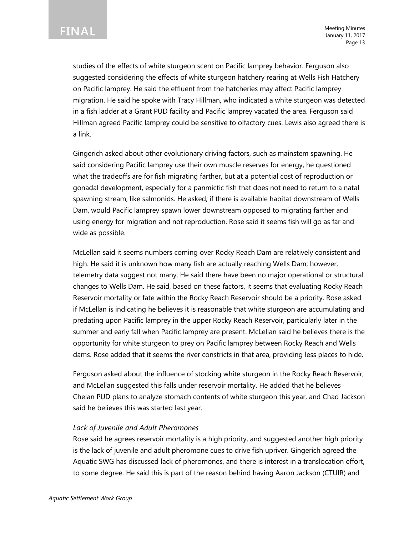Meeting Minutes January 11, 2017 Page 13

studies of the effects of white sturgeon scent on Pacific lamprey behavior. Ferguson also suggested considering the effects of white sturgeon hatchery rearing at Wells Fish Hatchery on Pacific lamprey. He said the effluent from the hatcheries may affect Pacific lamprey migration. He said he spoke with Tracy Hillman, who indicated a white sturgeon was detected in a fish ladder at a Grant PUD facility and Pacific lamprey vacated the area. Ferguson said Hillman agreed Pacific lamprey could be sensitive to olfactory cues. Lewis also agreed there is a link.

Gingerich asked about other evolutionary driving factors, such as mainstem spawning. He said considering Pacific lamprey use their own muscle reserves for energy, he questioned what the tradeoffs are for fish migrating farther, but at a potential cost of reproduction or gonadal development, especially for a panmictic fish that does not need to return to a natal spawning stream, like salmonids. He asked, if there is available habitat downstream of Wells Dam, would Pacific lamprey spawn lower downstream opposed to migrating farther and using energy for migration and not reproduction. Rose said it seems fish will go as far and wide as possible.

McLellan said it seems numbers coming over Rocky Reach Dam are relatively consistent and high. He said it is unknown how many fish are actually reaching Wells Dam; however, telemetry data suggest not many. He said there have been no major operational or structural changes to Wells Dam. He said, based on these factors, it seems that evaluating Rocky Reach Reservoir mortality or fate within the Rocky Reach Reservoir should be a priority. Rose asked if McLellan is indicating he believes it is reasonable that white sturgeon are accumulating and predating upon Pacific lamprey in the upper Rocky Reach Reservoir, particularly later in the summer and early fall when Pacific lamprey are present. McLellan said he believes there is the opportunity for white sturgeon to prey on Pacific lamprey between Rocky Reach and Wells dams. Rose added that it seems the river constricts in that area, providing less places to hide.

Ferguson asked about the influence of stocking white sturgeon in the Rocky Reach Reservoir, and McLellan suggested this falls under reservoir mortality. He added that he believes Chelan PUD plans to analyze stomach contents of white sturgeon this year, and Chad Jackson said he believes this was started last year.

#### *Lack of Juvenile and Adult Pheromones*

Rose said he agrees reservoir mortality is a high priority, and suggested another high priority is the lack of juvenile and adult pheromone cues to drive fish upriver. Gingerich agreed the Aquatic SWG has discussed lack of pheromones, and there is interest in a translocation effort, to some degree. He said this is part of the reason behind having Aaron Jackson (CTUIR) and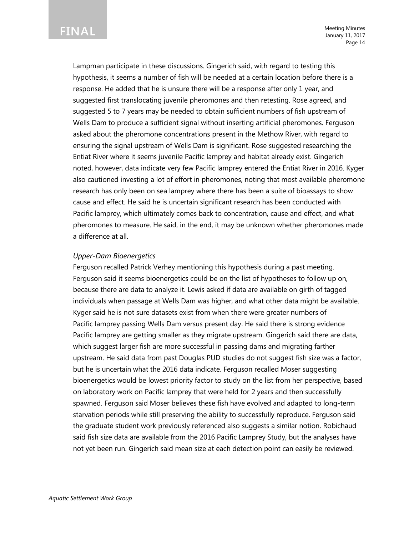**FINAL**

Meeting Minutes January 11, 2017 Page 14

Lampman participate in these discussions. Gingerich said, with regard to testing this hypothesis, it seems a number of fish will be needed at a certain location before there is a response. He added that he is unsure there will be a response after only 1 year, and suggested first translocating juvenile pheromones and then retesting. Rose agreed, and suggested 5 to 7 years may be needed to obtain sufficient numbers of fish upstream of Wells Dam to produce a sufficient signal without inserting artificial pheromones. Ferguson asked about the pheromone concentrations present in the Methow River, with regard to ensuring the signal upstream of Wells Dam is significant. Rose suggested researching the Entiat River where it seems juvenile Pacific lamprey and habitat already exist. Gingerich noted, however, data indicate very few Pacific lamprey entered the Entiat River in 2016. Kyger also cautioned investing a lot of effort in pheromones, noting that most available pheromone research has only been on sea lamprey where there has been a suite of bioassays to show cause and effect. He said he is uncertain significant research has been conducted with Pacific lamprey, which ultimately comes back to concentration, cause and effect, and what pheromones to measure. He said, in the end, it may be unknown whether pheromones made a difference at all.

#### *Upper-Dam Bioenergetics*

Ferguson recalled Patrick Verhey mentioning this hypothesis during a past meeting. Ferguson said it seems bioenergetics could be on the list of hypotheses to follow up on, because there are data to analyze it. Lewis asked if data are available on girth of tagged individuals when passage at Wells Dam was higher, and what other data might be available. Kyger said he is not sure datasets exist from when there were greater numbers of Pacific lamprey passing Wells Dam versus present day. He said there is strong evidence Pacific lamprey are getting smaller as they migrate upstream. Gingerich said there are data, which suggest larger fish are more successful in passing dams and migrating farther upstream. He said data from past Douglas PUD studies do not suggest fish size was a factor, but he is uncertain what the 2016 data indicate. Ferguson recalled Moser suggesting bioenergetics would be lowest priority factor to study on the list from her perspective, based on laboratory work on Pacific lamprey that were held for 2 years and then successfully spawned. Ferguson said Moser believes these fish have evolved and adapted to long-term starvation periods while still preserving the ability to successfully reproduce. Ferguson said the graduate student work previously referenced also suggests a similar notion. Robichaud said fish size data are available from the 2016 Pacific Lamprey Study, but the analyses have not yet been run. Gingerich said mean size at each detection point can easily be reviewed.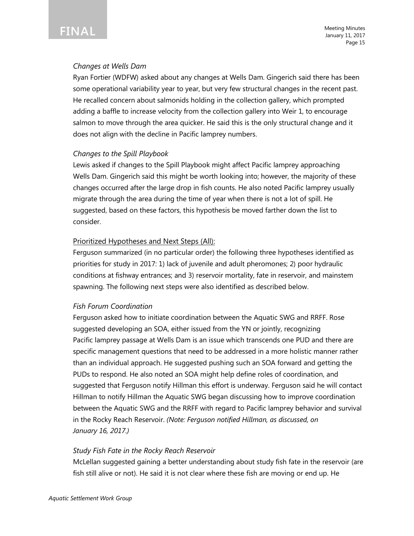

Meeting Minutes January 11, 2017 Page 15

#### *Changes at Wells Dam*

Ryan Fortier (WDFW) asked about any changes at Wells Dam. Gingerich said there has been some operational variability year to year, but very few structural changes in the recent past. He recalled concern about salmonids holding in the collection gallery, which prompted adding a baffle to increase velocity from the collection gallery into Weir 1, to encourage salmon to move through the area quicker. He said this is the only structural change and it does not align with the decline in Pacific lamprey numbers.

#### *Changes to the Spill Playbook*

Lewis asked if changes to the Spill Playbook might affect Pacific lamprey approaching Wells Dam. Gingerich said this might be worth looking into; however, the majority of these changes occurred after the large drop in fish counts. He also noted Pacific lamprey usually migrate through the area during the time of year when there is not a lot of spill. He suggested, based on these factors, this hypothesis be moved farther down the list to consider.

#### Prioritized Hypotheses and Next Steps (All):

Ferguson summarized (in no particular order) the following three hypotheses identified as priorities for study in 2017: 1) lack of juvenile and adult pheromones; 2) poor hydraulic conditions at fishway entrances; and 3) reservoir mortality, fate in reservoir, and mainstem spawning. The following next steps were also identified as described below.

#### *Fish Forum Coordination*

Ferguson asked how to initiate coordination between the Aquatic SWG and RRFF. Rose suggested developing an SOA, either issued from the YN or jointly, recognizing Pacific lamprey passage at Wells Dam is an issue which transcends one PUD and there are specific management questions that need to be addressed in a more holistic manner rather than an individual approach. He suggested pushing such an SOA forward and getting the PUDs to respond. He also noted an SOA might help define roles of coordination, and suggested that Ferguson notify Hillman this effort is underway. Ferguson said he will contact Hillman to notify Hillman the Aquatic SWG began discussing how to improve coordination between the Aquatic SWG and the RRFF with regard to Pacific lamprey behavior and survival in the Rocky Reach Reservoir. *(Note: Ferguson notified Hillman, as discussed, on January 16, 2017.)*

#### *Study Fish Fate in the Rocky Reach Reservoir*

McLellan suggested gaining a better understanding about study fish fate in the reservoir (are fish still alive or not). He said it is not clear where these fish are moving or end up. He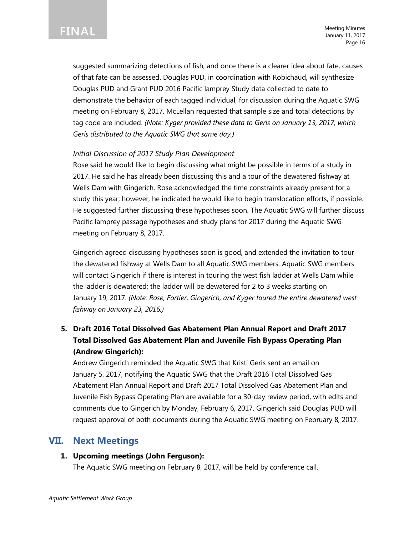Meeting Minutes January 11, 2017 Page 16

suggested summarizing detections of fish, and once there is a clearer idea about fate, causes of that fate can be assessed. Douglas PUD, in coordination with Robichaud, will synthesize Douglas PUD and Grant PUD 2016 Pacific lamprey Study data collected to date to demonstrate the behavior of each tagged individual, for discussion during the Aquatic SWG meeting on February 8, 2017. McLellan requested that sample size and total detections by tag code are included. *(Note: Kyger provided these data to Geris on January 13, 2017, which Geris distributed to the Aquatic SWG that same day.)*

### *Initial Discussion of 2017 Study Plan Development*

Rose said he would like to begin discussing what might be possible in terms of a study in 2017. He said he has already been discussing this and a tour of the dewatered fishway at Wells Dam with Gingerich. Rose acknowledged the time constraints already present for a study this year; however, he indicated he would like to begin translocation efforts, if possible. He suggested further discussing these hypotheses soon. The Aquatic SWG will further discuss Pacific lamprey passage hypotheses and study plans for 2017 during the Aquatic SWG meeting on February 8, 2017.

Gingerich agreed discussing hypotheses soon is good, and extended the invitation to tour the dewatered fishway at Wells Dam to all Aquatic SWG members. Aquatic SWG members will contact Gingerich if there is interest in touring the west fish ladder at Wells Dam while the ladder is dewatered; the ladder will be dewatered for 2 to 3 weeks starting on January 19, 2017. *(Note: Rose, Fortier, Gingerich, and Kyger toured the entire dewatered west fishway on January 23, 2016.)* 

# **5. Draft 2016 Total Dissolved Gas Abatement Plan Annual Report and Draft 2017 Total Dissolved Gas Abatement Plan and Juvenile Fish Bypass Operating Plan (Andrew Gingerich):**

Andrew Gingerich reminded the Aquatic SWG that Kristi Geris sent an email on January 5, 2017, notifying the Aquatic SWG that the Draft 2016 Total Dissolved Gas Abatement Plan Annual Report and Draft 2017 Total Dissolved Gas Abatement Plan and Juvenile Fish Bypass Operating Plan are available for a 30-day review period, with edits and comments due to Gingerich by Monday, February 6, 2017. Gingerich said Douglas PUD will request approval of both documents during the Aquatic SWG meeting on February 8, 2017.

### **VII. Next Meetings**

### **1. Upcoming meetings (John Ferguson):**

The Aquatic SWG meeting on February 8, 2017, will be held by conference call.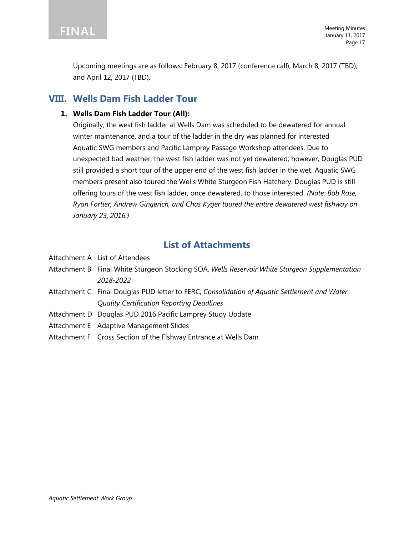

Upcoming meetings are as follows: February 8, 2017 (conference call); March 8, 2017 (TBD); and April 12, 2017 (TBD).

# **VIII. Wells Dam Fish Ladder Tour**

### **1. Wells Dam Fish Ladder Tour (All):**

Originally, the west fish ladder at Wells Dam was scheduled to be dewatered for annual winter maintenance, and a tour of the ladder in the dry was planned for interested Aquatic SWG members and Pacific Lamprey Passage Workshop attendees. Due to unexpected bad weather, the west fish ladder was not yet dewatered; however, Douglas PUD still provided a short tour of the upper end of the west fish ladder in the wet. Aquatic SWG members present also toured the Wells White Sturgeon Fish Hatchery. Douglas PUD is still offering tours of the west fish ladder, once dewatered, to those interested. *(Note: Bob Rose, Ryan Fortier, Andrew Gingerich, and Chas Kyger toured the entire dewatered west fishway on January 23, 2016.)*

# **List of Attachments**

- Attachment A List of Attendees
- Attachment B Final White Sturgeon Stocking SOA, *Wells Reservoir White Sturgeon Supplementation 2018-2022*
- Attachment C Final Douglas PUD letter to FERC, *Consolidation of Aquatic Settlement and Water Quality Certification Reporting Deadlines*
- Attachment D Douglas PUD 2016 Pacific Lamprey Study Update
- Attachment E Adaptive Management Slides
- Attachment F Cross Section of the Fishway Entrance at Wells Dam